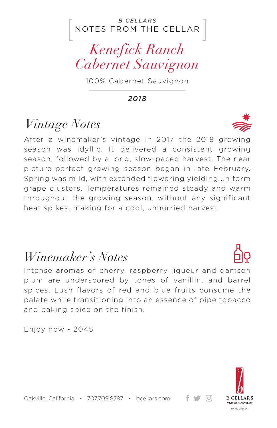#### NOTES FROM THE CELLAR *B CELLARS*

## *Kenefick Ranch Cabernet Sauvignon*

100% Cabernet Sauvignon

*2018*

## *Vintage Notes*

After a winemaker's vintage in 2017 the 2018 growing season was idyllic. It delivered a consistent growing season, followed by a long, slow-paced harvest. The near picture-perfect growing season began in late February. Spring was mild, with extended flowering yielding uniform grape clusters. Temperatures remained steady and warm throughout the growing season, without any significant heat spikes, making for a cool, unhurried harvest.

### *Winemaker's Notes*

Intense aromas of cherry, raspberry liqueur and damson plum are underscored by tones of vanillin, and barrel spices. Lush flavors of red and blue fruits consume the palate while transitioning into an essence of pipe tobacco and baking spice on the finish.

Enjoy now - 2045



+ ਚ ⊙